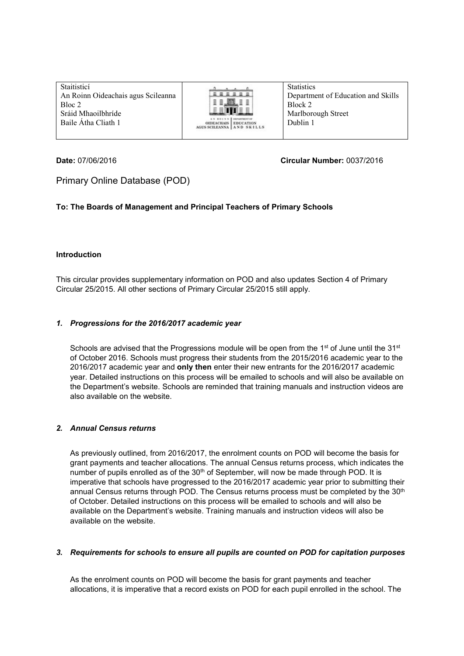| Staitisticí                        |                                                                                     | <b>Statistics</b>                  |
|------------------------------------|-------------------------------------------------------------------------------------|------------------------------------|
| An Roinn Oideachais agus Scileanna | BBBBBB<br>.<br>8 8 . JAN.                                                           | Department of Education and Skills |
| Bloc 2                             |                                                                                     | Block 2                            |
| Sráid Mhaoilbhríde                 |                                                                                     | Marlborough Street                 |
| Baile Átha Cliath 1                | AN EDINN BEFAILENT OF<br><b>OIDEACHAIS   EDUCATION</b><br>AGUS SCILEANNA AND SKILLS | Dublin 1                           |
|                                    |                                                                                     |                                    |

### **Date:** 07/06/2016 **Circular Number:** 0037/2016

# Primary Online Database (POD)

# **To: The Boards of Management and Principal Teachers of Primary Schools**

# **Introduction**

This circular provides supplementary information on POD and also updates Section 4 of Primary Circular 25/2015. All other sections of Primary Circular 25/2015 still apply.

#### *1. Progressions for the 2016/2017 academic year*

Schools are advised that the Progressions module will be open from the  $1<sup>st</sup>$  of June until the  $31<sup>st</sup>$ of October 2016. Schools must progress their students from the 2015/2016 academic year to the 2016/2017 academic year and **only then** enter their new entrants for the 2016/2017 academic year. Detailed instructions on this process will be emailed to schools and will also be available on the Department's website. Schools are reminded that training manuals and instruction videos are also available on the website.

# *2. Annual Census returns*

As previously outlined, from 2016/2017, the enrolment counts on POD will become the basis for grant payments and teacher allocations. The annual Census returns process, which indicates the number of pupils enrolled as of the 30<sup>th</sup> of September, will now be made through POD. It is imperative that schools have progressed to the 2016/2017 academic year prior to submitting their annual Census returns through POD. The Census returns process must be completed by the 30<sup>th</sup> of October. Detailed instructions on this process will be emailed to schools and will also be available on the Department's website. Training manuals and instruction videos will also be available on the website.

#### *3. Requirements for schools to ensure all pupils are counted on POD for capitation purposes*

As the enrolment counts on POD will become the basis for grant payments and teacher allocations, it is imperative that a record exists on POD for each pupil enrolled in the school. The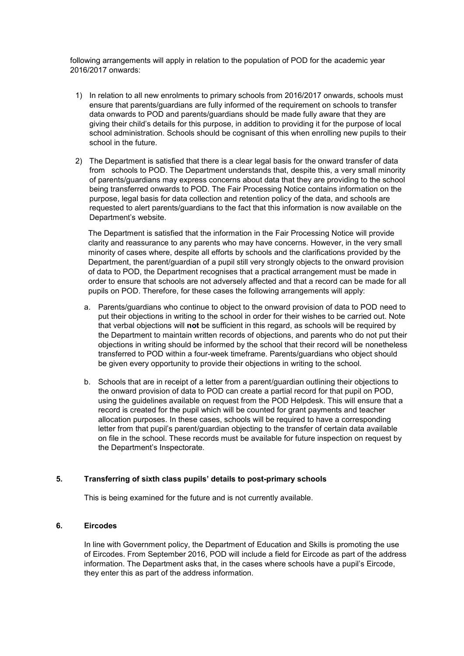following arrangements will apply in relation to the population of POD for the academic year 2016/2017 onwards:

- 1) In relation to all new enrolments to primary schools from 2016/2017 onwards, schools must ensure that parents/guardians are fully informed of the requirement on schools to transfer data onwards to POD and parents/guardians should be made fully aware that they are giving their child's details for this purpose, in addition to providing it for the purpose of local school administration. Schools should be cognisant of this when enrolling new pupils to their school in the future.
- 2) The Department is satisfied that there is a clear legal basis for the onward transfer of data from schools to POD. The Department understands that, despite this, a very small minority of parents/guardians may express concerns about data that they are providing to the school being transferred onwards to POD. The Fair Processing Notice contains information on the purpose, legal basis for data collection and retention policy of the data, and schools are requested to alert parents/guardians to the fact that this information is now available on the Department's website.

The Department is satisfied that the information in the Fair Processing Notice will provide clarity and reassurance to any parents who may have concerns. However, in the very small minority of cases where, despite all efforts by schools and the clarifications provided by the Department, the parent/guardian of a pupil still very strongly objects to the onward provision of data to POD, the Department recognises that a practical arrangement must be made in order to ensure that schools are not adversely affected and that a record can be made for all pupils on POD. Therefore, for these cases the following arrangements will apply:

- a. Parents/guardians who continue to object to the onward provision of data to POD need to put their objections in writing to the school in order for their wishes to be carried out. Note that verbal objections will **not** be sufficient in this regard, as schools will be required by the Department to maintain written records of objections, and parents who do not put their objections in writing should be informed by the school that their record will be nonetheless transferred to POD within a four-week timeframe. Parents/guardians who object should be given every opportunity to provide their objections in writing to the school.
- b. Schools that are in receipt of a letter from a parent/guardian outlining their objections to the onward provision of data to POD can create a partial record for that pupil on POD, using the guidelines available on request from the POD Helpdesk. This will ensure that a record is created for the pupil which will be counted for grant payments and teacher allocation purposes. In these cases, schools will be required to have a corresponding letter from that pupil's parent/guardian objecting to the transfer of certain data available on file in the school. These records must be available for future inspection on request by the Department's Inspectorate.

# **5. Transferring of sixth class pupils' details to post-primary schools**

This is being examined for the future and is not currently available.

## **6. Eircodes**

In line with Government policy, the Department of Education and Skills is promoting the use of Eircodes. From September 2016, POD will include a field for Eircode as part of the address information. The Department asks that, in the cases where schools have a pupil's Eircode, they enter this as part of the address information.